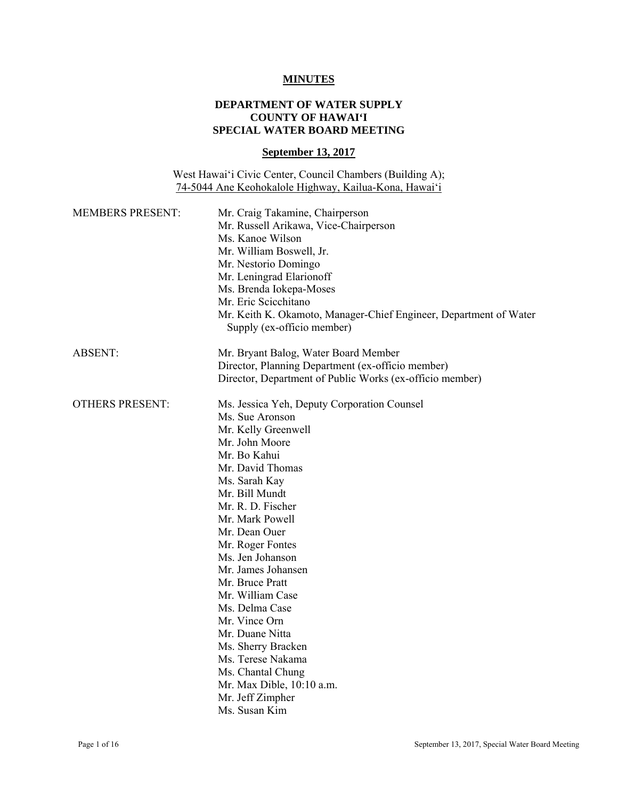### **MINUTES**

# **DEPARTMENT OF WATER SUPPLY COUNTY OF HAWAI'I SPECIAL WATER BOARD MEETING**

### **September 13, 2017**

West Hawai'i Civic Center, Council Chambers (Building A); 74-5044 Ane Keohokalole Highway, Kailua-Kona, Hawai'i

| <b>MEMBERS PRESENT:</b> | Mr. Craig Takamine, Chairperson<br>Mr. Russell Arikawa, Vice-Chairperson<br>Ms. Kanoe Wilson<br>Mr. William Boswell, Jr.<br>Mr. Nestorio Domingo<br>Mr. Leningrad Elarionoff<br>Ms. Brenda Iokepa-Moses<br>Mr. Eric Scicchitano<br>Mr. Keith K. Okamoto, Manager-Chief Engineer, Department of Water<br>Supply (ex-officio member) |
|-------------------------|------------------------------------------------------------------------------------------------------------------------------------------------------------------------------------------------------------------------------------------------------------------------------------------------------------------------------------|
| <b>ABSENT:</b>          | Mr. Bryant Balog, Water Board Member                                                                                                                                                                                                                                                                                               |
|                         | Director, Planning Department (ex-officio member)                                                                                                                                                                                                                                                                                  |
|                         | Director, Department of Public Works (ex-officio member)                                                                                                                                                                                                                                                                           |
| <b>OTHERS PRESENT:</b>  | Ms. Jessica Yeh, Deputy Corporation Counsel                                                                                                                                                                                                                                                                                        |
|                         | Ms. Sue Aronson                                                                                                                                                                                                                                                                                                                    |
|                         | Mr. Kelly Greenwell                                                                                                                                                                                                                                                                                                                |
|                         | Mr. John Moore                                                                                                                                                                                                                                                                                                                     |
|                         | Mr. Bo Kahui                                                                                                                                                                                                                                                                                                                       |
|                         | Mr. David Thomas                                                                                                                                                                                                                                                                                                                   |
|                         | Ms. Sarah Kay                                                                                                                                                                                                                                                                                                                      |
|                         | Mr. Bill Mundt                                                                                                                                                                                                                                                                                                                     |
|                         | Mr. R. D. Fischer                                                                                                                                                                                                                                                                                                                  |
|                         | Mr. Mark Powell                                                                                                                                                                                                                                                                                                                    |
|                         | Mr. Dean Ouer                                                                                                                                                                                                                                                                                                                      |
|                         | Mr. Roger Fontes                                                                                                                                                                                                                                                                                                                   |
|                         | Ms. Jen Johanson                                                                                                                                                                                                                                                                                                                   |
|                         | Mr. James Johansen                                                                                                                                                                                                                                                                                                                 |
|                         | Mr. Bruce Pratt                                                                                                                                                                                                                                                                                                                    |
|                         | Mr. William Case                                                                                                                                                                                                                                                                                                                   |
|                         | Ms. Delma Case                                                                                                                                                                                                                                                                                                                     |
|                         | Mr. Vince Orn                                                                                                                                                                                                                                                                                                                      |
|                         | Mr. Duane Nitta                                                                                                                                                                                                                                                                                                                    |
|                         | Ms. Sherry Bracken                                                                                                                                                                                                                                                                                                                 |
|                         | Ms. Terese Nakama                                                                                                                                                                                                                                                                                                                  |
|                         | Ms. Chantal Chung                                                                                                                                                                                                                                                                                                                  |
|                         | Mr. Max Dible, 10:10 a.m.                                                                                                                                                                                                                                                                                                          |
|                         | Mr. Jeff Zimpher                                                                                                                                                                                                                                                                                                                   |
|                         | Ms. Susan Kim                                                                                                                                                                                                                                                                                                                      |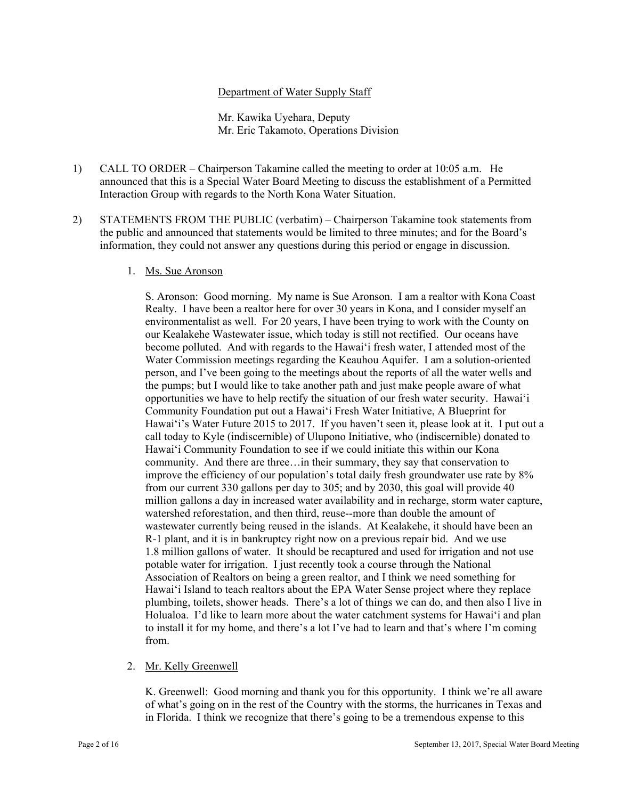## Department of Water Supply Staff

Mr. Kawika Uyehara, Deputy Mr. Eric Takamoto, Operations Division

- 1) CALL TO ORDER Chairperson Takamine called the meeting to order at 10:05 a.m. He announced that this is a Special Water Board Meeting to discuss the establishment of a Permitted Interaction Group with regards to the North Kona Water Situation.
- 2) STATEMENTS FROM THE PUBLIC (verbatim) Chairperson Takamine took statements from the public and announced that statements would be limited to three minutes; and for the Board's information, they could not answer any questions during this period or engage in discussion.

### 1. Ms. Sue Aronson

from. S. Aronson: Good morning. My name is Sue Aronson. I am a realtor with Kona Coast Realty. I have been a realtor here for over 30 years in Kona, and I consider myself an environmentalist as well. For 20 years, I have been trying to work with the County on our Kealakehe Wastewater issue, which today is still not rectified. Our oceans have become polluted. And with regards to the Hawai'i fresh water, I attended most of the Water Commission meetings regarding the Keauhou Aquifer. I am a solution-oriented person, and I've been going to the meetings about the reports of all the water wells and the pumps; but I would like to take another path and just make people aware of what opportunities we have to help rectify the situation of our fresh water security. Hawai'i Community Foundation put out a Hawai'i Fresh Water Initiative, A Blueprint for Hawai'i's Water Future 2015 to 2017. If you haven't seen it, please look at it. I put out a call today to Kyle (indiscernible) of Ulupono Initiative, who (indiscernible) donated to Hawai'i Community Foundation to see if we could initiate this within our Kona community. And there are three…in their summary, they say that conservation to improve the efficiency of our population's total daily fresh groundwater use rate by 8% from our current 330 gallons per day to 305; and by 2030, this goal will provide 40 million gallons a day in increased water availability and in recharge, storm water capture, watershed reforestation, and then third, reuse--more than double the amount of wastewater currently being reused in the islands. At Kealakehe, it should have been an R-1 plant, and it is in bankruptcy right now on a previous repair bid. And we use 1.8 million gallons of water. It should be recaptured and used for irrigation and not use potable water for irrigation. I just recently took a course through the National Association of Realtors on being a green realtor, and I think we need something for Hawai'i Island to teach realtors about the EPA Water Sense project where they replace plumbing, toilets, shower heads. There's a lot of things we can do, and then also I live in Holualoa. I'd like to learn more about the water catchment systems for Hawai'i and plan to install it for my home, and there's a lot I've had to learn and that's where I'm coming

# 2. Mr. Kelly Greenwell

K. Greenwell: Good morning and thank you for this opportunity. I think we're all aware of what's going on in the rest of the Country with the storms, the hurricanes in Texas and in Florida. I think we recognize that there's going to be a tremendous expense to this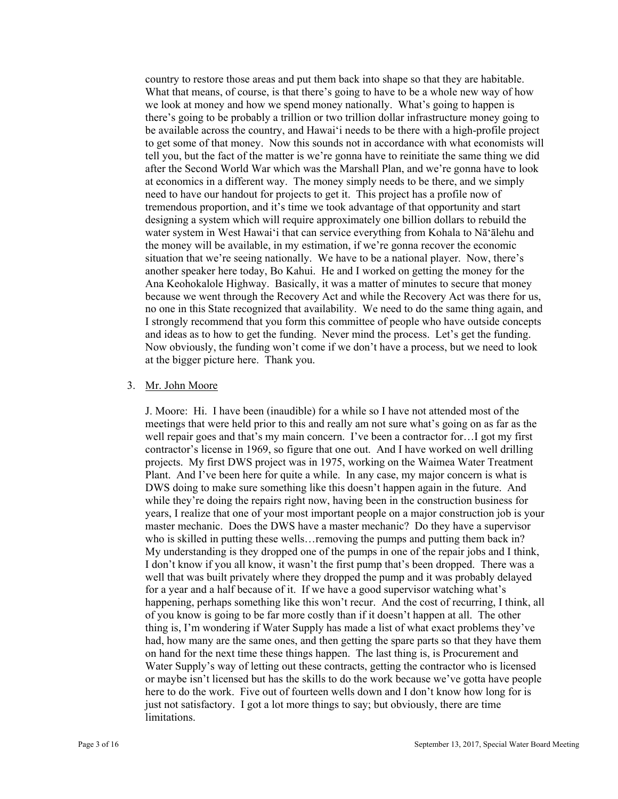situation that we're seeing nationally. We have to be a national player. Now, there's country to restore those areas and put them back into shape so that they are habitable. What that means, of course, is that there's going to have to be a whole new way of how we look at money and how we spend money nationally. What's going to happen is there's going to be probably a trillion or two trillion dollar infrastructure money going to be available across the country, and Hawai'i needs to be there with a high-profile project to get some of that money. Now this sounds not in accordance with what economists will tell you, but the fact of the matter is we're gonna have to reinitiate the same thing we did after the Second World War which was the Marshall Plan, and we're gonna have to look at economics in a different way. The money simply needs to be there, and we simply need to have our handout for projects to get it. This project has a profile now of tremendous proportion, and it's time we took advantage of that opportunity and start designing a system which will require approximately one billion dollars to rebuild the water system in West Hawai'i that can service everything from Kohala to Nā'ālehu and the money will be available, in my estimation, if we're gonna recover the economic another speaker here today, Bo Kahui. He and I worked on getting the money for the Ana Keohokalole Highway. Basically, it was a matter of minutes to secure that money because we went through the Recovery Act and while the Recovery Act was there for us, no one in this State recognized that availability. We need to do the same thing again, and I strongly recommend that you form this committee of people who have outside concepts and ideas as to how to get the funding. Never mind the process. Let's get the funding. Now obviously, the funding won't come if we don't have a process, but we need to look at the bigger picture here. Thank you.

#### 3. Mr. John Moore

 had, how many are the same ones, and then getting the spare parts so that they have them J. Moore: Hi. I have been (inaudible) for a while so I have not attended most of the meetings that were held prior to this and really am not sure what's going on as far as the well repair goes and that's my main concern. I've been a contractor for... I got my first contractor's license in 1969, so figure that one out. And I have worked on well drilling projects. My first DWS project was in 1975, working on the Waimea Water Treatment Plant. And I've been here for quite a while. In any case, my major concern is what is DWS doing to make sure something like this doesn't happen again in the future. And while they're doing the repairs right now, having been in the construction business for years, I realize that one of your most important people on a major construction job is your master mechanic. Does the DWS have a master mechanic? Do they have a supervisor who is skilled in putting these wells…removing the pumps and putting them back in? My understanding is they dropped one of the pumps in one of the repair jobs and I think, I don't know if you all know, it wasn't the first pump that's been dropped. There was a well that was built privately where they dropped the pump and it was probably delayed for a year and a half because of it. If we have a good supervisor watching what's happening, perhaps something like this won't recur. And the cost of recurring, I think, all of you know is going to be far more costly than if it doesn't happen at all. The other thing is, I'm wondering if Water Supply has made a list of what exact problems they've on hand for the next time these things happen. The last thing is, is Procurement and Water Supply's way of letting out these contracts, getting the contractor who is licensed or maybe isn't licensed but has the skills to do the work because we've gotta have people here to do the work. Five out of fourteen wells down and I don't know how long for is just not satisfactory. I got a lot more things to say; but obviously, there are time limitations.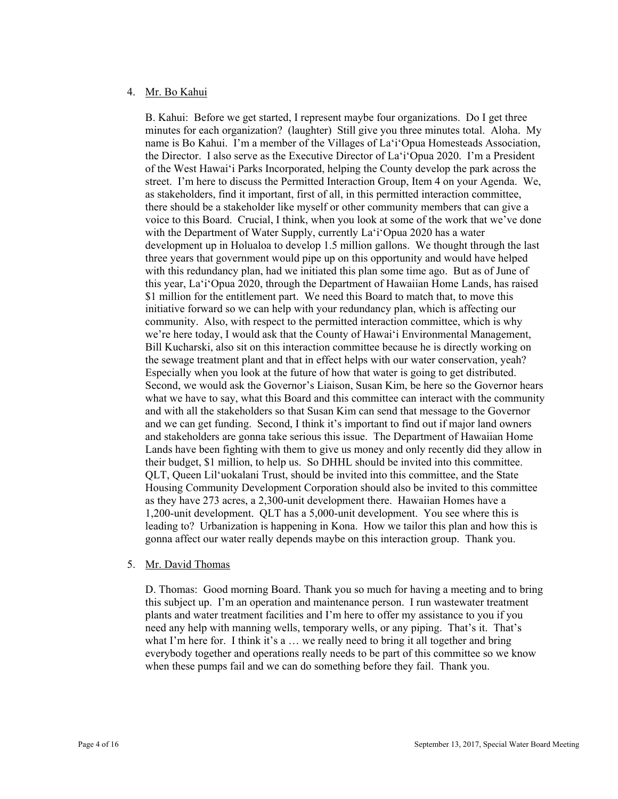### 4. Mr. Bo Kahui

B. Kahui: Before we get started, I represent maybe four organizations. Do I get three minutes for each organization? (laughter) Still give you three minutes total. Aloha. My name is Bo Kahui. I'm a member of the Villages of La'i'Opua Homesteads Association, the Director. I also serve as the Executive Director of La'i'Opua 2020. I'm a President of the West Hawai'i Parks Incorporated, helping the County develop the park across the street. I'm here to discuss the Permitted Interaction Group, Item 4 on your Agenda. We, as stakeholders, find it important, first of all, in this permitted interaction committee, there should be a stakeholder like myself or other community members that can give a voice to this Board. Crucial, I think, when you look at some of the work that we've done with the Department of Water Supply, currently La'i'Opua 2020 has a water development up in Holualoa to develop 1.5 million gallons. We thought through the last three years that government would pipe up on this opportunity and would have helped with this redundancy plan, had we initiated this plan some time ago. But as of June of this year, La'i'Opua 2020, through the Department of Hawaiian Home Lands, has raised \$1 million for the entitlement part. We need this Board to match that, to move this initiative forward so we can help with your redundancy plan, which is affecting our community. Also, with respect to the permitted interaction committee, which is why we're here today, I would ask that the County of Hawai'i Environmental Management, Bill Kucharski, also sit on this interaction committee because he is directly working on the sewage treatment plant and that in effect helps with our water conservation, yeah? Especially when you look at the future of how that water is going to get distributed. Second, we would ask the Governor's Liaison, Susan Kim, be here so the Governor hears what we have to say, what this Board and this committee can interact with the community and with all the stakeholders so that Susan Kim can send that message to the Governor and we can get funding. Second, I think it's important to find out if major land owners and stakeholders are gonna take serious this issue. The Department of Hawaiian Home Lands have been fighting with them to give us money and only recently did they allow in their budget, \$1 million, to help us. So DHHL should be invited into this committee. QLT, Queen Lil'uokalani Trust, should be invited into this committee, and the State Housing Community Development Corporation should also be invited to this committee as they have 273 acres, a 2,300-unit development there. Hawaiian Homes have a 1,200-unit development. QLT has a 5,000-unit development. You see where this is leading to? Urbanization is happening in Kona. How we tailor this plan and how this is gonna affect our water really depends maybe on this interaction group. Thank you.

#### 5. Mr. David Thomas

D. Thomas: Good morning Board. Thank you so much for having a meeting and to bring this subject up. I'm an operation and maintenance person. I run wastewater treatment plants and water treatment facilities and I'm here to offer my assistance to you if you need any help with manning wells, temporary wells, or any piping. That's it. That's what I'm here for. I think it's a ... we really need to bring it all together and bring everybody together and operations really needs to be part of this committee so we know when these pumps fail and we can do something before they fail. Thank you.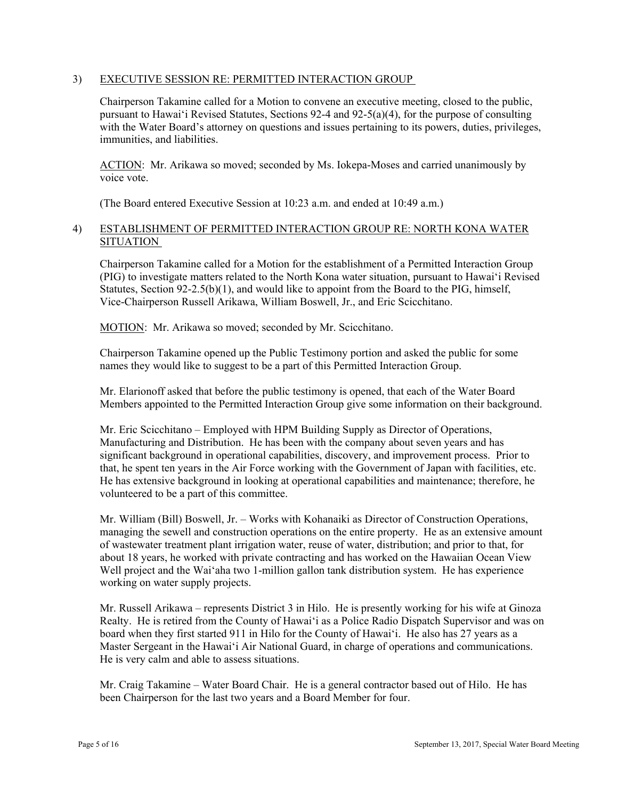# 3) EXECUTIVE SESSION RE: PERMITTED INTERACTION GROUP

Chairperson Takamine called for a Motion to convene an executive meeting, closed to the public, pursuant to Hawai'i Revised Statutes, Sections 92-4 and 92-5(a)(4), for the purpose of consulting with the Water Board's attorney on questions and issues pertaining to its powers, duties, privileges, immunities, and liabilities.

ACTION: Mr. Arikawa so moved; seconded by Ms. Iokepa-Moses and carried unanimously by voice vote.

(The Board entered Executive Session at 10:23 a.m. and ended at 10:49 a.m.)

# 4) ESTABLISHMENT OF PERMITTED INTERACTION GROUP RE: NORTH KONA WATER **SITUATION**

Chairperson Takamine called for a Motion for the establishment of a Permitted Interaction Group (PIG) to investigate matters related to the North Kona water situation, pursuant to Hawai'i Revised Statutes, Section 92-2.5(b)(1), and would like to appoint from the Board to the PIG, himself, Vice-Chairperson Russell Arikawa, William Boswell, Jr., and Eric Scicchitano.

MOTION: Mr. Arikawa so moved; seconded by Mr. Scicchitano.

names they would like to suggest to be a part of this Permitted Interaction Group. Chairperson Takamine opened up the Public Testimony portion and asked the public for some

Mr. Elarionoff asked that before the public testimony is opened, that each of the Water Board Members appointed to the Permitted Interaction Group give some information on their background.

Mr. Eric Scicchitano – Employed with HPM Building Supply as Director of Operations, Manufacturing and Distribution. He has been with the company about seven years and has significant background in operational capabilities, discovery, and improvement process. Prior to that, he spent ten years in the Air Force working with the Government of Japan with facilities, etc. He has extensive background in looking at operational capabilities and maintenance; therefore, he volunteered to be a part of this committee.

Mr. William (Bill) Boswell, Jr. – Works with Kohanaiki as Director of Construction Operations, managing the sewell and construction operations on the entire property. He as an extensive amount of wastewater treatment plant irrigation water, reuse of water, distribution; and prior to that, for about 18 years, he worked with private contracting and has worked on the Hawaiian Ocean View Well project and the Wai'aha two 1-million gallon tank distribution system. He has experience working on water supply projects.

Mr. Russell Arikawa – represents District 3 in Hilo. He is presently working for his wife at Ginoza Realty. He is retired from the County of Hawai'i as a Police Radio Dispatch Supervisor and was on board when they first started 911 in Hilo for the County of Hawai'i. He also has 27 years as a Master Sergeant in the Hawai'i Air National Guard, in charge of operations and communications. He is very calm and able to assess situations.

Mr. Craig Takamine – Water Board Chair. He is a general contractor based out of Hilo. He has been Chairperson for the last two years and a Board Member for four.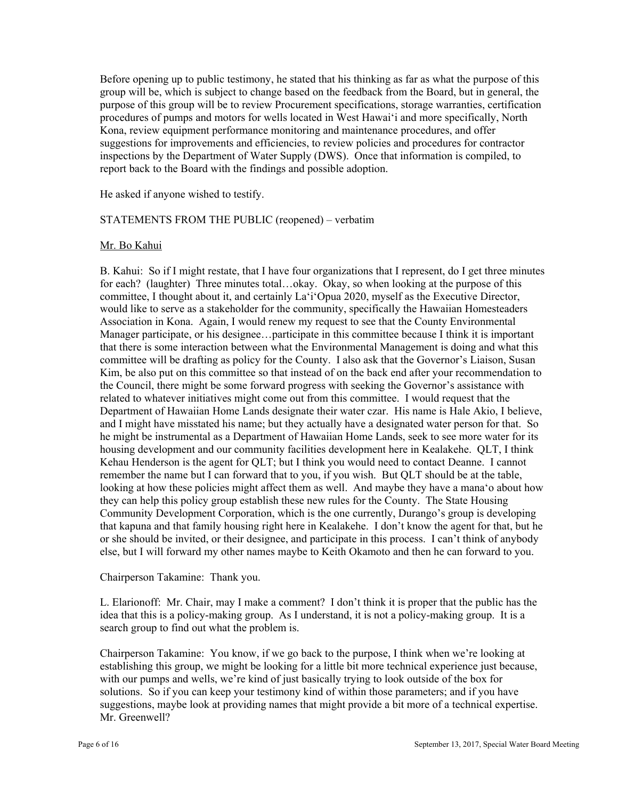report back to the Board with the findings and possible adoption. He asked if anyone wished to testify. Before opening up to public testimony, he stated that his thinking as far as what the purpose of this group will be, which is subject to change based on the feedback from the Board, but in general, the purpose of this group will be to review Procurement specifications, storage warranties, certification procedures of pumps and motors for wells located in West Hawai'i and more specifically, North Kona, review equipment performance monitoring and maintenance procedures, and offer suggestions for improvements and efficiencies, to review policies and procedures for contractor inspections by the Department of Water Supply (DWS). Once that information is compiled, to

### STATEMENTS FROM THE PUBLIC (reopened) – verbatim

#### Mr. Bo Kahui

 for each? (laughter) Three minutes total…okay. Okay, so when looking at the purpose of this committee will be drafting as policy for the County. I also ask that the Governor's Liaison, Susan B. Kahui: So if I might restate, that I have four organizations that I represent, do I get three minutes committee, I thought about it, and certainly La'i'Opua 2020, myself as the Executive Director, would like to serve as a stakeholder for the community, specifically the Hawaiian Homesteaders Association in Kona. Again, I would renew my request to see that the County Environmental Manager participate, or his designee…participate in this committee because I think it is important that there is some interaction between what the Environmental Management is doing and what this Kim, be also put on this committee so that instead of on the back end after your recommendation to the Council, there might be some forward progress with seeking the Governor's assistance with related to whatever initiatives might come out from this committee. I would request that the Department of Hawaiian Home Lands designate their water czar. His name is Hale Akio, I believe, and I might have misstated his name; but they actually have a designated water person for that. So he might be instrumental as a Department of Hawaiian Home Lands, seek to see more water for its housing development and our community facilities development here in Kealakehe. QLT, I think Kehau Henderson is the agent for QLT; but I think you would need to contact Deanne. I cannot remember the name but I can forward that to you, if you wish. But QLT should be at the table, looking at how these policies might affect them as well. And maybe they have a mana'o about how they can help this policy group establish these new rules for the County. The State Housing Community Development Corporation, which is the one currently, Durango's group is developing that kapuna and that family housing right here in Kealakehe. I don't know the agent for that, but he or she should be invited, or their designee, and participate in this process. I can't think of anybody else, but I will forward my other names maybe to Keith Okamoto and then he can forward to you.

### Chairperson Takamine: Thank you.

 idea that this is a policy-making group. As I understand, it is not a policy-making group. It is a L. Elarionoff: Mr. Chair, may I make a comment? I don't think it is proper that the public has the search group to find out what the problem is.

Chairperson Takamine: You know, if we go back to the purpose, I think when we're looking at establishing this group, we might be looking for a little bit more technical experience just because, with our pumps and wells, we're kind of just basically trying to look outside of the box for solutions. So if you can keep your testimony kind of within those parameters; and if you have suggestions, maybe look at providing names that might provide a bit more of a technical expertise. Mr. Greenwell?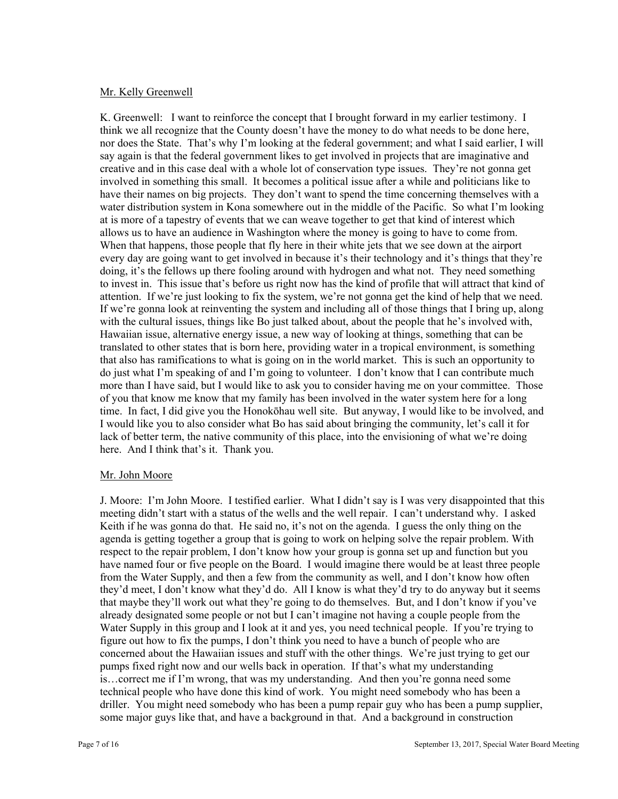## Mr. Kelly Greenwell

allows us to have an audience in Washington where the money is going to have to come from. here. And I think that's it. Thank you. K. Greenwell: I want to reinforce the concept that I brought forward in my earlier testimony. I think we all recognize that the County doesn't have the money to do what needs to be done here, nor does the State. That's why I'm looking at the federal government; and what I said earlier, I will say again is that the federal government likes to get involved in projects that are imaginative and creative and in this case deal with a whole lot of conservation type issues. They're not gonna get involved in something this small. It becomes a political issue after a while and politicians like to have their names on big projects. They don't want to spend the time concerning themselves with a water distribution system in Kona somewhere out in the middle of the Pacific. So what I'm looking at is more of a tapestry of events that we can weave together to get that kind of interest which When that happens, those people that fly here in their white jets that we see down at the airport every day are going want to get involved in because it's their technology and it's things that they're doing, it's the fellows up there fooling around with hydrogen and what not. They need something to invest in. This issue that's before us right now has the kind of profile that will attract that kind of attention. If we're just looking to fix the system, we're not gonna get the kind of help that we need. If we're gonna look at reinventing the system and including all of those things that I bring up, along with the cultural issues, things like Bo just talked about, about the people that he's involved with, Hawaiian issue, alternative energy issue, a new way of looking at things, something that can be translated to other states that is born here, providing water in a tropical environment, is something that also has ramifications to what is going on in the world market. This is such an opportunity to do just what I'm speaking of and I'm going to volunteer. I don't know that I can contribute much more than I have said, but I would like to ask you to consider having me on your committee. Those of you that know me know that my family has been involved in the water system here for a long time. In fact, I did give you the Honokōhau well site. But anyway, I would like to be involved, and I would like you to also consider what Bo has said about bringing the community, let's call it for lack of better term, the native community of this place, into the envisioning of what we're doing

# Mr. John Moore

J. Moore: I'm John Moore. I testified earlier. What I didn't say is I was very disappointed that this meeting didn't start with a status of the wells and the well repair. I can't understand why. I asked Keith if he was gonna do that. He said no, it's not on the agenda. I guess the only thing on the agenda is getting together a group that is going to work on helping solve the repair problem. With respect to the repair problem, I don't know how your group is gonna set up and function but you have named four or five people on the Board. I would imagine there would be at least three people from the Water Supply, and then a few from the community as well, and I don't know how often they'd meet, I don't know what they'd do. All I know is what they'd try to do anyway but it seems that maybe they'll work out what they're going to do themselves. But, and I don't know if you've already designated some people or not but I can't imagine not having a couple people from the Water Supply in this group and I look at it and yes, you need technical people. If you're trying to figure out how to fix the pumps, I don't think you need to have a bunch of people who are concerned about the Hawaiian issues and stuff with the other things. We're just trying to get our pumps fixed right now and our wells back in operation. If that's what my understanding is…correct me if I'm wrong, that was my understanding. And then you're gonna need some technical people who have done this kind of work. You might need somebody who has been a driller. You might need somebody who has been a pump repair guy who has been a pump supplier, some major guys like that, and have a background in that. And a background in construction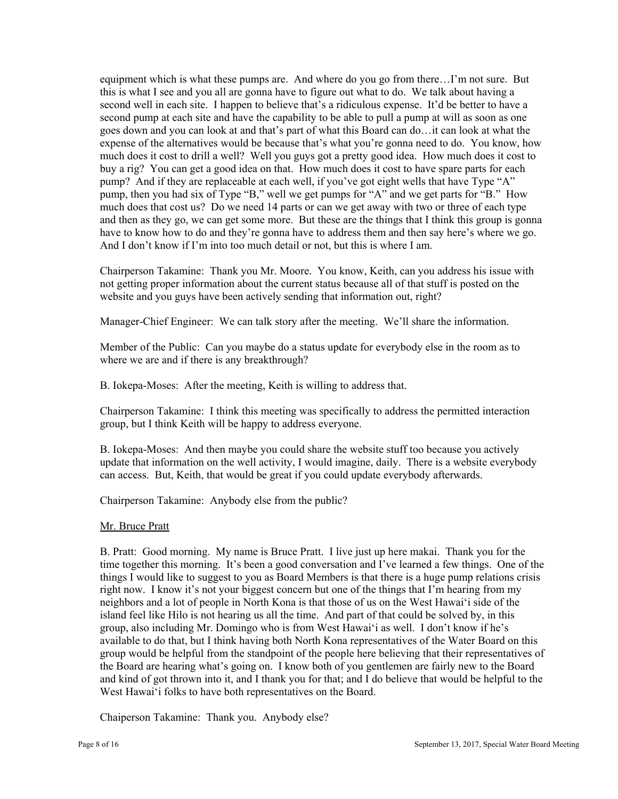equipment which is what these pumps are. And where do you go from there…I'm not sure. But this is what I see and you all are gonna have to figure out what to do. We talk about having a second well in each site. I happen to believe that's a ridiculous expense. It'd be better to have a second pump at each site and have the capability to be able to pull a pump at will as soon as one goes down and you can look at and that's part of what this Board can do…it can look at what the expense of the alternatives would be because that's what you're gonna need to do. You know, how much does it cost to drill a well? Well you guys got a pretty good idea. How much does it cost to buy a rig? You can get a good idea on that. How much does it cost to have spare parts for each pump? And if they are replaceable at each well, if you've got eight wells that have Type "A" pump, then you had six of Type "B," well we get pumps for "A" and we get parts for "B." How much does that cost us? Do we need 14 parts or can we get away with two or three of each type and then as they go, we can get some more. But these are the things that I think this group is gonna have to know how to do and they're gonna have to address them and then say here's where we go. And I don't know if I'm into too much detail or not, but this is where I am.

Chairperson Takamine: Thank you Mr. Moore. You know, Keith, can you address his issue with not getting proper information about the current status because all of that stuff is posted on the website and you guys have been actively sending that information out, right?

Manager-Chief Engineer: We can talk story after the meeting. We'll share the information.

Member of the Public: Can you maybe do a status update for everybody else in the room as to where we are and if there is any breakthrough?

B. Iokepa-Moses: After the meeting, Keith is willing to address that.

Chairperson Takamine: I think this meeting was specifically to address the permitted interaction group, but I think Keith will be happy to address everyone.

B. Iokepa-Moses: And then maybe you could share the website stuff too because you actively update that information on the well activity, I would imagine, daily. There is a website everybody can access. But, Keith, that would be great if you could update everybody afterwards.

Chairperson Takamine: Anybody else from the public?

#### Mr. Bruce Pratt

B. Pratt: Good morning. My name is Bruce Pratt. I live just up here makai. Thank you for the time together this morning. It's been a good conversation and I've learned a few things. One of the things I would like to suggest to you as Board Members is that there is a huge pump relations crisis right now. I know it's not your biggest concern but one of the things that I'm hearing from my neighbors and a lot of people in North Kona is that those of us on the West Hawai'i side of the island feel like Hilo is not hearing us all the time. And part of that could be solved by, in this group, also including Mr. Domingo who is from West Hawai'i as well. I don't know if he's available to do that, but I think having both North Kona representatives of the Water Board on this group would be helpful from the standpoint of the people here believing that their representatives of the Board are hearing what's going on. I know both of you gentlemen are fairly new to the Board and kind of got thrown into it, and I thank you for that; and I do believe that would be helpful to the West Hawai'i folks to have both representatives on the Board.

Chaiperson Takamine: Thank you. Anybody else?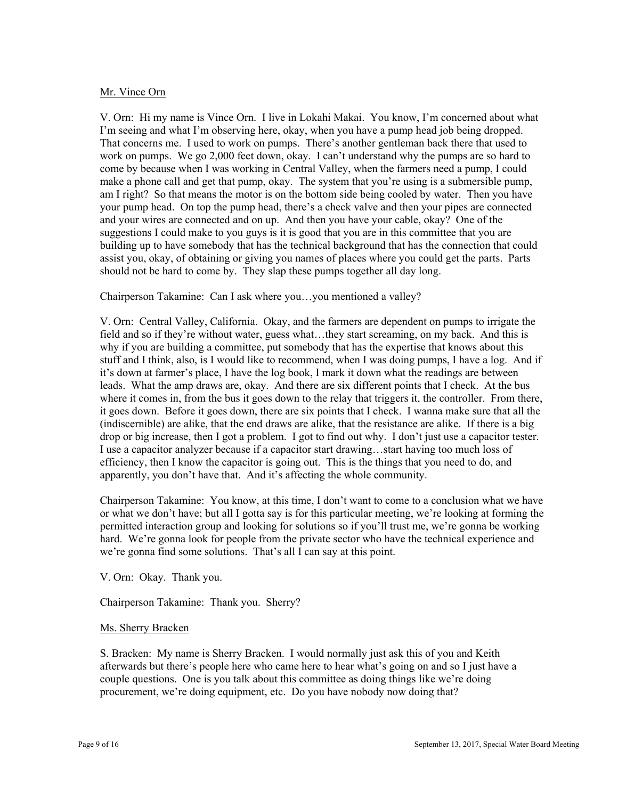## Mr. Vince Orn

 and your wires are connected and on up. And then you have your cable, okay? One of the should not be hard to come by. They slap these pumps together all day long. V. Orn: Hi my name is Vince Orn. I live in Lokahi Makai. You know, I'm concerned about what I'm seeing and what I'm observing here, okay, when you have a pump head job being dropped. That concerns me. I used to work on pumps. There's another gentleman back there that used to work on pumps. We go 2,000 feet down, okay. I can't understand why the pumps are so hard to come by because when I was working in Central Valley, when the farmers need a pump, I could make a phone call and get that pump, okay. The system that you're using is a submersible pump, am I right? So that means the motor is on the bottom side being cooled by water. Then you have your pump head. On top the pump head, there's a check valve and then your pipes are connected suggestions I could make to you guys is it is good that you are in this committee that you are building up to have somebody that has the technical background that has the connection that could assist you, okay, of obtaining or giving you names of places where you could get the parts. Parts

Chairperson Takamine: Can I ask where you…you mentioned a valley?

V. Orn: Central Valley, California. Okay, and the farmers are dependent on pumps to irrigate the field and so if they're without water, guess what…they start screaming, on my back. And this is why if you are building a committee, put somebody that has the expertise that knows about this stuff and I think, also, is I would like to recommend, when I was doing pumps, I have a log. And if it's down at farmer's place, I have the log book, I mark it down what the readings are between leads. What the amp draws are, okay. And there are six different points that I check. At the bus where it comes in, from the bus it goes down to the relay that triggers it, the controller. From there, it goes down. Before it goes down, there are six points that I check. I wanna make sure that all the (indiscernible) are alike, that the end draws are alike, that the resistance are alike. If there is a big drop or big increase, then I got a problem. I got to find out why. I don't just use a capacitor tester. I use a capacitor analyzer because if a capacitor start drawing…start having too much loss of efficiency, then I know the capacitor is going out. This is the things that you need to do, and apparently, you don't have that. And it's affecting the whole community.

Chairperson Takamine: You know, at this time, I don't want to come to a conclusion what we have or what we don't have; but all I gotta say is for this particular meeting, we're looking at forming the permitted interaction group and looking for solutions so if you'll trust me, we're gonna be working hard. We're gonna look for people from the private sector who have the technical experience and we're gonna find some solutions. That's all I can say at this point.

V. Orn: Okay. Thank you.

Chairperson Takamine: Thank you. Sherry?

#### Ms. Sherry Bracken

S. Bracken: My name is Sherry Bracken. I would normally just ask this of you and Keith afterwards but there's people here who came here to hear what's going on and so I just have a couple questions. One is you talk about this committee as doing things like we're doing procurement, we're doing equipment, etc. Do you have nobody now doing that?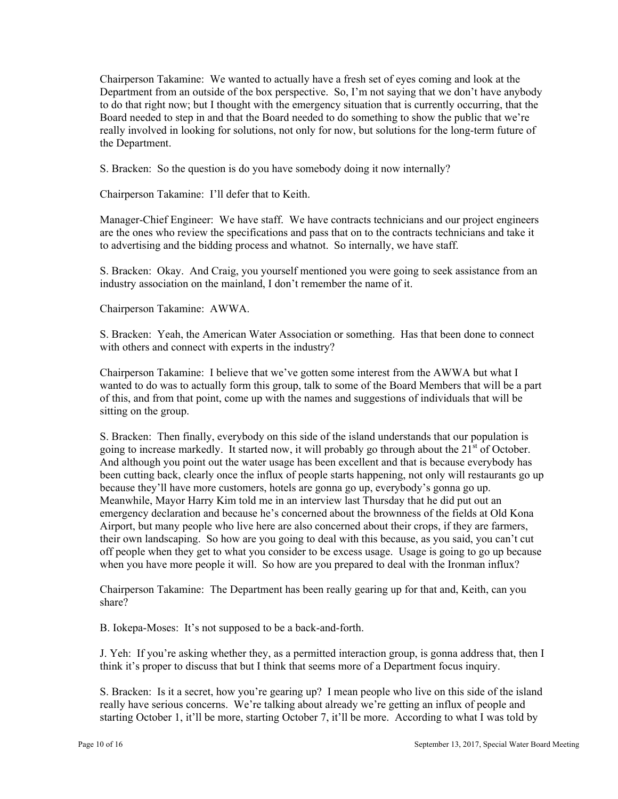Chairperson Takamine: We wanted to actually have a fresh set of eyes coming and look at the Department from an outside of the box perspective. So, I'm not saying that we don't have anybody to do that right now; but I thought with the emergency situation that is currently occurring, that the Board needed to step in and that the Board needed to do something to show the public that we're really involved in looking for solutions, not only for now, but solutions for the long-term future of the Department.

S. Bracken: So the question is do you have somebody doing it now internally?

Chairperson Takamine: I'll defer that to Keith.

Manager-Chief Engineer: We have staff. We have contracts technicians and our project engineers are the ones who review the specifications and pass that on to the contracts technicians and take it to advertising and the bidding process and whatnot. So internally, we have staff.

S. Bracken: Okay. And Craig, you yourself mentioned you were going to seek assistance from an industry association on the mainland, I don't remember the name of it.

Chairperson Takamine: AWWA.

S. Bracken: Yeah, the American Water Association or something. Has that been done to connect with others and connect with experts in the industry?

Chairperson Takamine: I believe that we've gotten some interest from the AWWA but what I wanted to do was to actually form this group, talk to some of the Board Members that will be a part of this, and from that point, come up with the names and suggestions of individuals that will be sitting on the group.

 S. Bracken: Then finally, everybody on this side of the island understands that our population is going to increase markedly. It started now, it will probably go through about the  $21<sup>st</sup>$  of October. And although you point out the water usage has been excellent and that is because everybody has been cutting back, clearly once the influx of people starts happening, not only will restaurants go up because they'll have more customers, hotels are gonna go up, everybody's gonna go up. Meanwhile, Mayor Harry Kim told me in an interview last Thursday that he did put out an emergency declaration and because he's concerned about the brownness of the fields at Old Kona Airport, but many people who live here are also concerned about their crops, if they are farmers, their own landscaping. So how are you going to deal with this because, as you said, you can't cut off people when they get to what you consider to be excess usage. Usage is going to go up because when you have more people it will. So how are you prepared to deal with the Ironman influx?

Chairperson Takamine: The Department has been really gearing up for that and, Keith, can you share?

B. Iokepa-Moses: It's not supposed to be a back-and-forth.

J. Yeh: If you're asking whether they, as a permitted interaction group, is gonna address that, then I think it's proper to discuss that but I think that seems more of a Department focus inquiry.

 S. Bracken: Is it a secret, how you're gearing up? I mean people who live on this side of the island really have serious concerns. We're talking about already we're getting an influx of people and starting October 1, it'll be more, starting October 7, it'll be more. According to what I was told by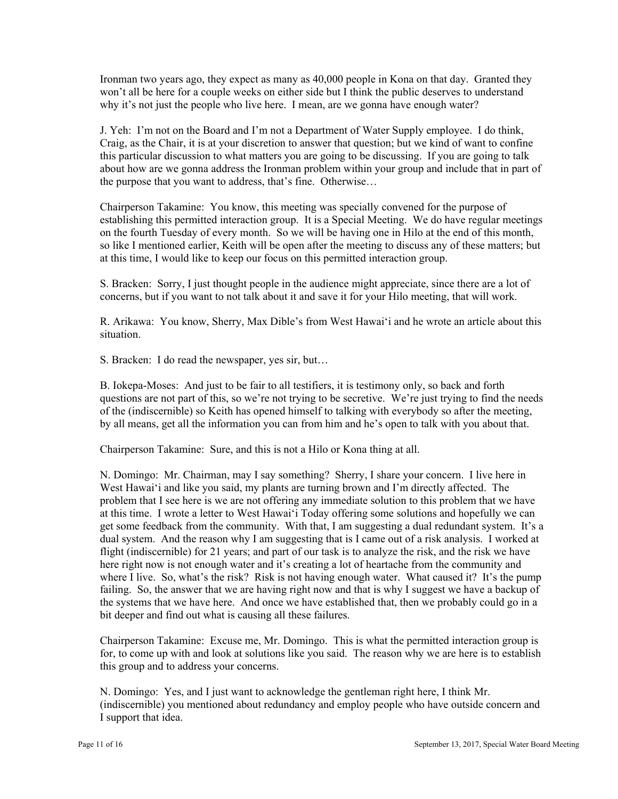Ironman two years ago, they expect as many as 40,000 people in Kona on that day. Granted they won't all be here for a couple weeks on either side but I think the public deserves to understand why it's not just the people who live here. I mean, are we gonna have enough water?

J. Yeh: I'm not on the Board and I'm not a Department of Water Supply employee. I do think, Craig, as the Chair, it is at your discretion to answer that question; but we kind of want to confine this particular discussion to what matters you are going to be discussing. If you are going to talk about how are we gonna address the Ironman problem within your group and include that in part of the purpose that you want to address, that's fine. Otherwise…

Chairperson Takamine: You know, this meeting was specially convened for the purpose of establishing this permitted interaction group. It is a Special Meeting. We do have regular meetings on the fourth Tuesday of every month. So we will be having one in Hilo at the end of this month, so like I mentioned earlier, Keith will be open after the meeting to discuss any of these matters; but at this time, I would like to keep our focus on this permitted interaction group.

S. Bracken: Sorry, I just thought people in the audience might appreciate, since there are a lot of concerns, but if you want to not talk about it and save it for your Hilo meeting, that will work.

R. Arikawa: You know, Sherry, Max Dible's from West Hawai'i and he wrote an article about this situation.

S. Bracken: I do read the newspaper, yes sir, but…

B. Iokepa-Moses: And just to be fair to all testifiers, it is testimony only, so back and forth questions are not part of this, so we're not trying to be secretive. We're just trying to find the needs of the (indiscernible) so Keith has opened himself to talking with everybody so after the meeting, by all means, get all the information you can from him and he's open to talk with you about that.

Chairperson Takamine: Sure, and this is not a Hilo or Kona thing at all.

N. Domingo: Mr. Chairman, may I say something? Sherry, I share your concern. I live here in West Hawai'i and like you said, my plants are turning brown and I'm directly affected. The problem that I see here is we are not offering any immediate solution to this problem that we have at this time. I wrote a letter to West Hawai'i Today offering some solutions and hopefully we can get some feedback from the community. With that, I am suggesting a dual redundant system. It's a dual system. And the reason why I am suggesting that is I came out of a risk analysis. I worked at flight (indiscernible) for 21 years; and part of our task is to analyze the risk, and the risk we have here right now is not enough water and it's creating a lot of heartache from the community and where I live. So, what's the risk? Risk is not having enough water. What caused it? It's the pump failing. So, the answer that we are having right now and that is why I suggest we have a backup of the systems that we have here. And once we have established that, then we probably could go in a bit deeper and find out what is causing all these failures.

Chairperson Takamine: Excuse me, Mr. Domingo. This is what the permitted interaction group is for, to come up with and look at solutions like you said. The reason why we are here is to establish this group and to address your concerns.

N. Domingo: Yes, and I just want to acknowledge the gentleman right here, I think Mr. (indiscernible) you mentioned about redundancy and employ people who have outside concern and I support that idea.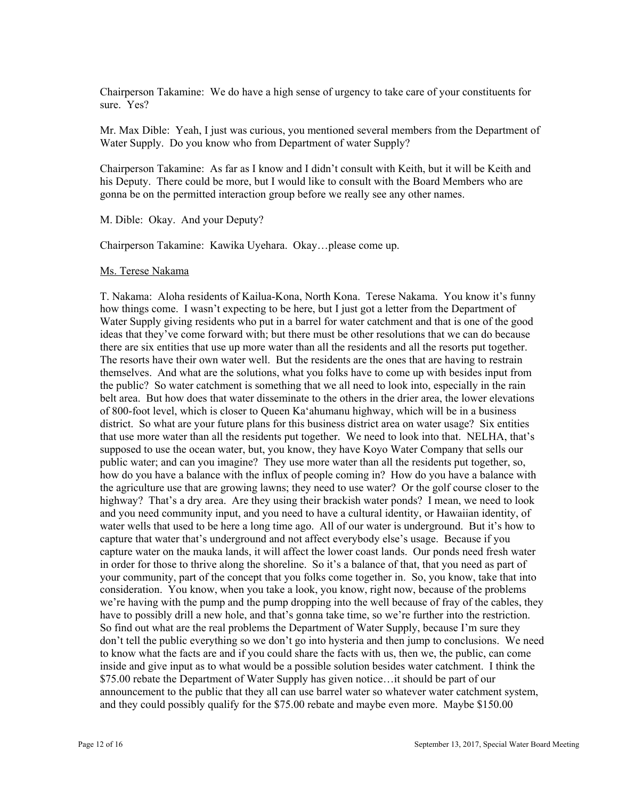Chairperson Takamine: We do have a high sense of urgency to take care of your constituents for sure. Yes?

Mr. Max Dible: Yeah, I just was curious, you mentioned several members from the Department of Water Supply. Do you know who from Department of water Supply?

 his Deputy. There could be more, but I would like to consult with the Board Members who are gonna be on the permitted interaction group before we really see any other names. M. Dible: Okay. And your Deputy? Chairperson Takamine: As far as I know and I didn't consult with Keith, but it will be Keith and

Chairperson Takamine: Kawika Uyehara. Okay…please come up.

#### Ms. Terese Nakama

T. Nakama: Aloha residents of Kailua-Kona, North Kona. Terese Nakama. You know it's funny how things come. I wasn't expecting to be here, but I just got a letter from the Department of Water Supply giving residents who put in a barrel for water catchment and that is one of the good ideas that they've come forward with; but there must be other resolutions that we can do because there are six entities that use up more water than all the residents and all the resorts put together. The resorts have their own water well. But the residents are the ones that are having to restrain themselves. And what are the solutions, what you folks have to come up with besides input from the public? So water catchment is something that we all need to look into, especially in the rain belt area. But how does that water disseminate to the others in the drier area, the lower elevations of 800-foot level, which is closer to Queen Ka'ahumanu highway, which will be in a business district. So what are your future plans for this business district area on water usage? Six entities that use more water than all the residents put together. We need to look into that. NELHA, that's supposed to use the ocean water, but, you know, they have Koyo Water Company that sells our public water; and can you imagine? They use more water than all the residents put together, so, how do you have a balance with the influx of people coming in? How do you have a balance with the agriculture use that are growing lawns; they need to use water? Or the golf course closer to the highway? That's a dry area. Are they using their brackish water ponds? I mean, we need to look and you need community input, and you need to have a cultural identity, or Hawaiian identity, of water wells that used to be here a long time ago. All of our water is underground. But it's how to capture that water that's underground and not affect everybody else's usage. Because if you capture water on the mauka lands, it will affect the lower coast lands. Our ponds need fresh water in order for those to thrive along the shoreline. So it's a balance of that, that you need as part of your community, part of the concept that you folks come together in. So, you know, take that into consideration. You know, when you take a look, you know, right now, because of the problems we're having with the pump and the pump dropping into the well because of fray of the cables, they have to possibly drill a new hole, and that's gonna take time, so we're further into the restriction. So find out what are the real problems the Department of Water Supply, because I'm sure they don't tell the public everything so we don't go into hysteria and then jump to conclusions. We need to know what the facts are and if you could share the facts with us, then we, the public, can come inside and give input as to what would be a possible solution besides water catchment. I think the \$75.00 rebate the Department of Water Supply has given notice…it should be part of our announcement to the public that they all can use barrel water so whatever water catchment system, and they could possibly qualify for the \$75.00 rebate and maybe even more. Maybe \$150.00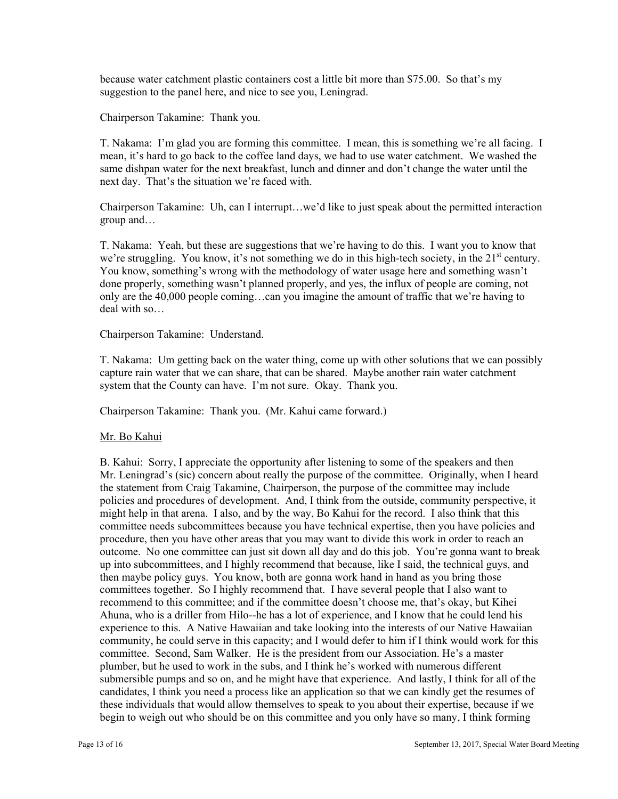because water catchment plastic containers cost a little bit more than \$75.00. So that's my suggestion to the panel here, and nice to see you, Leningrad.

Chairperson Takamine: Thank you.

T. Nakama: I'm glad you are forming this committee. I mean, this is something we're all facing. I mean, it's hard to go back to the coffee land days, we had to use water catchment. We washed the same dishpan water for the next breakfast, lunch and dinner and don't change the water until the next day. That's the situation we're faced with.

Chairperson Takamine: Uh, can I interrupt…we'd like to just speak about the permitted interaction group and…

T. Nakama: Yeah, but these are suggestions that we're having to do this. I want you to know that we're struggling. You know, it's not something we do in this high-tech society, in the  $21<sup>st</sup>$  century. You know, something's wrong with the methodology of water usage here and something wasn't done properly, something wasn't planned properly, and yes, the influx of people are coming, not only are the 40,000 people coming…can you imagine the amount of traffic that we're having to deal with so…

#### Chairperson Takamine: Understand.

T. Nakama: Um getting back on the water thing, come up with other solutions that we can possibly capture rain water that we can share, that can be shared. Maybe another rain water catchment system that the County can have. I'm not sure. Okay. Thank you.

Chairperson Takamine: Thank you. (Mr. Kahui came forward.)

#### Mr. Bo Kahui

 then maybe policy guys. You know, both are gonna work hand in hand as you bring those B. Kahui: Sorry, I appreciate the opportunity after listening to some of the speakers and then Mr. Leningrad's (sic) concern about really the purpose of the committee. Originally, when I heard the statement from Craig Takamine, Chairperson, the purpose of the committee may include policies and procedures of development. And, I think from the outside, community perspective, it might help in that arena. I also, and by the way, Bo Kahui for the record. I also think that this committee needs subcommittees because you have technical expertise, then you have policies and procedure, then you have other areas that you may want to divide this work in order to reach an outcome. No one committee can just sit down all day and do this job. You're gonna want to break up into subcommittees, and I highly recommend that because, like I said, the technical guys, and committees together. So I highly recommend that. I have several people that I also want to recommend to this committee; and if the committee doesn't choose me, that's okay, but Kihei Ahuna, who is a driller from Hilo--he has a lot of experience, and I know that he could lend his experience to this. A Native Hawaiian and take looking into the interests of our Native Hawaiian community, he could serve in this capacity; and I would defer to him if I think would work for this committee. Second, Sam Walker. He is the president from our Association. He's a master plumber, but he used to work in the subs, and I think he's worked with numerous different submersible pumps and so on, and he might have that experience. And lastly, I think for all of the candidates, I think you need a process like an application so that we can kindly get the resumes of these individuals that would allow themselves to speak to you about their expertise, because if we begin to weigh out who should be on this committee and you only have so many, I think forming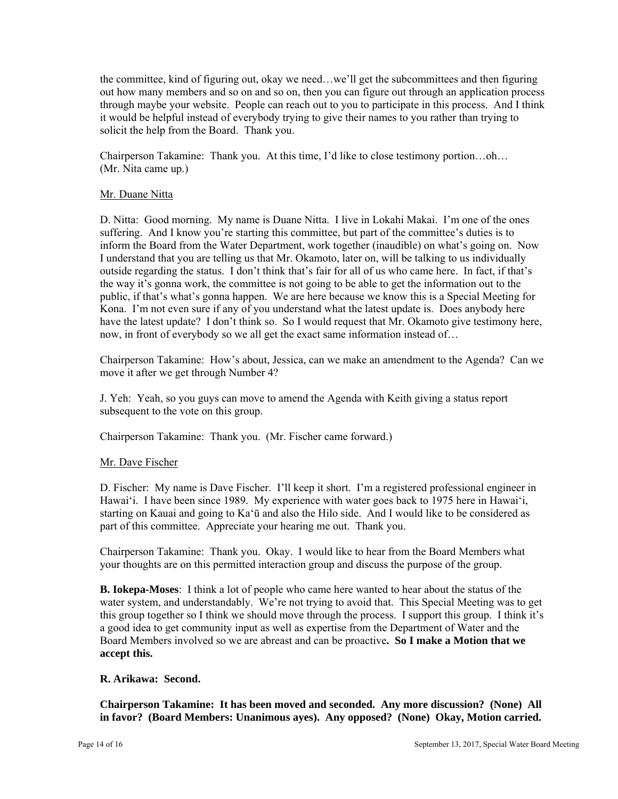the committee, kind of figuring out, okay we need…we'll get the subcommittees and then figuring out how many members and so on and so on, then you can figure out through an application process through maybe your website. People can reach out to you to participate in this process. And I think it would be helpful instead of everybody trying to give their names to you rather than trying to solicit the help from the Board. Thank you.

Chairperson Takamine: Thank you. At this time, I'd like to close testimony portion…oh… (Mr. Nita came up.)

### Mr. Duane Nitta

D. Nitta: Good morning. My name is Duane Nitta. I live in Lokahi Makai. I'm one of the ones suffering. And I know you're starting this committee, but part of the committee's duties is to inform the Board from the Water Department, work together (inaudible) on what's going on. Now I understand that you are telling us that Mr. Okamoto, later on, will be talking to us individually outside regarding the status. I don't think that's fair for all of us who came here. In fact, if that's the way it's gonna work, the committee is not going to be able to get the information out to the public, if that's what's gonna happen. We are here because we know this is a Special Meeting for Kona. I'm not even sure if any of you understand what the latest update is. Does anybody here have the latest update? I don't think so. So I would request that Mr. Okamoto give testimony here, now, in front of everybody so we all get the exact same information instead of…

Chairperson Takamine: How's about, Jessica, can we make an amendment to the Agenda? Can we move it after we get through Number 4?

J. Yeh: Yeah, so you guys can move to amend the Agenda with Keith giving a status report subsequent to the vote on this group.

Chairperson Takamine: Thank you. (Mr. Fischer came forward.)

#### Mr. Dave Fischer

D. Fischer: My name is Dave Fischer. I'll keep it short. I'm a registered professional engineer in Hawai'i. I have been since 1989. My experience with water goes back to 1975 here in Hawai'i, starting on Kauai and going to Ka'ū and also the Hilo side. And I would like to be considered as part of this committee. Appreciate your hearing me out. Thank you.

Chairperson Takamine: Thank you. Okay. I would like to hear from the Board Members what your thoughts are on this permitted interaction group and discuss the purpose of the group.

 water system, and understandably. We're not trying to avoid that. This Special Meeting was to get **B. Iokepa-Moses**: I think a lot of people who came here wanted to hear about the status of the this group together so I think we should move through the process. I support this group. I think it's a good idea to get community input as well as expertise from the Department of Water and the Board Members involved so we are abreast and can be proactive**. So I make a Motion that we accept this.** 

#### **R. Arikawa: Second.**

**Chairperson Takamine: It has been moved and seconded. Any more discussion? (None) All in favor? (Board Members: Unanimous ayes). Any opposed? (None) Okay, Motion carried.**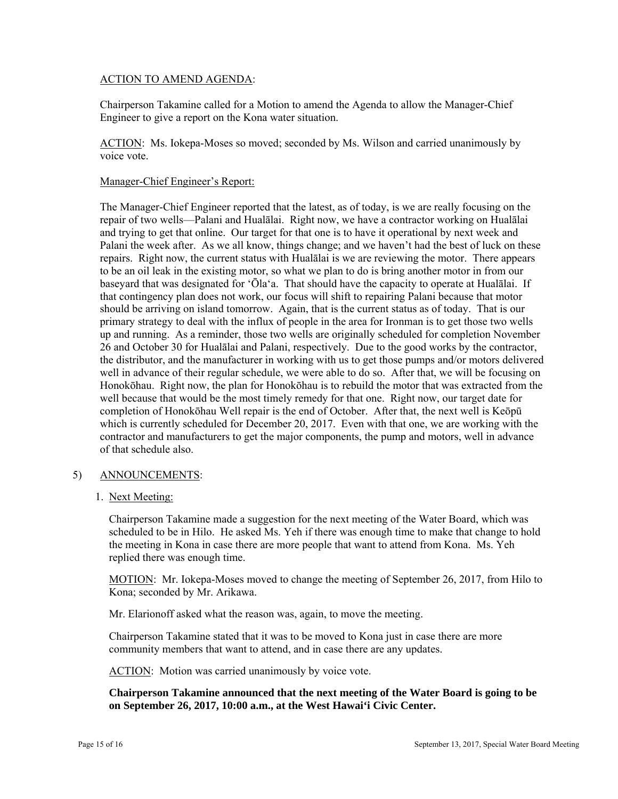## ACTION TO AMEND AGENDA:

Chairperson Takamine called for a Motion to amend the Agenda to allow the Manager-Chief Engineer to give a report on the Kona water situation.

ACTION: Ms. Iokepa-Moses so moved; seconded by Ms. Wilson and carried unanimously by voice vote.

### Manager-Chief Engineer's Report:

The Manager-Chief Engineer reported that the latest, as of today, is we are really focusing on the repair of two wells—Palani and Hualālai. Right now, we have a contractor working on Hualālai and trying to get that online. Our target for that one is to have it operational by next week and Palani the week after. As we all know, things change; and we haven't had the best of luck on these repairs. Right now, the current status with Hualālai is we are reviewing the motor. There appears to be an oil leak in the existing motor, so what we plan to do is bring another motor in from our baseyard that was designated for 'Ōla'a. That should have the capacity to operate at Hualālai. If that contingency plan does not work, our focus will shift to repairing Palani because that motor should be arriving on island tomorrow. Again, that is the current status as of today. That is our primary strategy to deal with the influx of people in the area for Ironman is to get those two wells up and running. As a reminder, those two wells are originally scheduled for completion November 26 and October 30 for Hualālai and Palani, respectively. Due to the good works by the contractor, the distributor, and the manufacturer in working with us to get those pumps and/or motors delivered well in advance of their regular schedule, we were able to do so. After that, we will be focusing on Honokōhau. Right now, the plan for Honokōhau is to rebuild the motor that was extracted from the well because that would be the most timely remedy for that one. Right now, our target date for completion of Honokōhau Well repair is the end of October. After that, the next well is Keōpū which is currently scheduled for December 20, 2017. Even with that one, we are working with the contractor and manufacturers to get the major components, the pump and motors, well in advance of that schedule also.

# 5) ANNOUNCEMENTS:

# 1. Next Meeting:

Chairperson Takamine made a suggestion for the next meeting of the Water Board, which was scheduled to be in Hilo. He asked Ms. Yeh if there was enough time to make that change to hold the meeting in Kona in case there are more people that want to attend from Kona. Ms. Yeh replied there was enough time.

MOTION: Mr. Iokepa-Moses moved to change the meeting of September 26, 2017, from Hilo to Kona; seconded by Mr. Arikawa.

Mr. Elarionoff asked what the reason was, again, to move the meeting.

Chairperson Takamine stated that it was to be moved to Kona just in case there are more community members that want to attend, and in case there are any updates.

ACTION: Motion was carried unanimously by voice vote.

**Chairperson Takamine announced that the next meeting of the Water Board is going to be on September 26, 2017, 10:00 a.m., at the West Hawai'i Civic Center.**